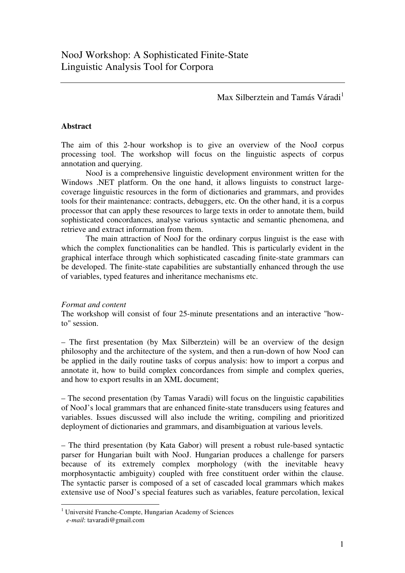Max Silberztein and Tamás Váradi<sup>1</sup>

## **Abstract**

The aim of this 2-hour workshop is to give an overview of the NooJ corpus processing tool. The workshop will focus on the linguistic aspects of corpus annotation and querying.

NooJ is a comprehensive linguistic development environment written for the Windows .NET platform. On the one hand, it allows linguists to construct largecoverage linguistic resources in the form of dictionaries and grammars, and provides tools for their maintenance: contracts, debuggers, etc. On the other hand, it is a corpus processor that can apply these resources to large texts in order to annotate them, build sophisticated concordances, analyse various syntactic and semantic phenomena, and retrieve and extract information from them.

The main attraction of NooJ for the ordinary corpus linguist is the ease with which the complex functionalities can be handled. This is particularly evident in the graphical interface through which sophisticated cascading finite-state grammars can be developed. The finite-state capabilities are substantially enhanced through the use of variables, typed features and inheritance mechanisms etc.

## *Format and content*

The workshop will consist of four 25-minute presentations and an interactive "howto" session.

– The first presentation (by Max Silberztein) will be an overview of the design philosophy and the architecture of the system, and then a run-down of how NooJ can be applied in the daily routine tasks of corpus analysis: how to import a corpus and annotate it, how to build complex concordances from simple and complex queries, and how to export results in an XML document;

– The second presentation (by Tamas Varadi) will focus on the linguistic capabilities of NooJ's local grammars that are enhanced finite-state transducers using features and variables. Issues discussed will also include the writing, compiling and prioritized deployment of dictionaries and grammars, and disambiguation at various levels.

– The third presentation (by Kata Gabor) will present a robust rule-based syntactic parser for Hungarian built with NooJ. Hungarian produces a challenge for parsers because of its extremely complex morphology (with the inevitable heavy morphosyntactic ambiguity) coupled with free constituent order within the clause. The syntactic parser is composed of a set of cascaded local grammars which makes extensive use of NooJ's special features such as variables, feature percolation, lexical

<sup>1</sup> Université Franche-Compte, Hungarian Academy of Sciences *e-mail*: tavaradi@gmail.com